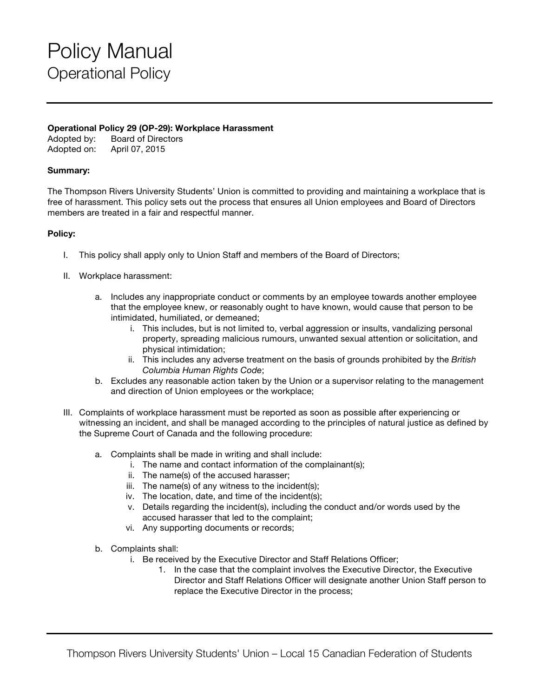## Policy Manual Operational Policy

### **Operational Policy 29 (OP-29): Workplace Harassment**

Adopted by: Board of Directors Adopted on: April 07, 2015

### **Summary:**

The Thompson Rivers University Students' Union is committed to providing and maintaining a workplace that is free of harassment. This policy sets out the process that ensures all Union employees and Board of Directors members are treated in a fair and respectful manner.

#### **Policy:**

- I. This policy shall apply only to Union Staff and members of the Board of Directors;
- II. Workplace harassment:
	- a. Includes any inappropriate conduct or comments by an employee towards another employee that the employee knew, or reasonably ought to have known, would cause that person to be intimidated, humiliated, or demeaned;
		- i. This includes, but is not limited to, verbal aggression or insults, vandalizing personal property, spreading malicious rumours, unwanted sexual attention or solicitation, and physical intimidation;
		- ii. This includes any adverse treatment on the basis of grounds prohibited by the *British Columbia Human Rights Code*;
	- b. Excludes any reasonable action taken by the Union or a supervisor relating to the management and direction of Union employees or the workplace;
- III. Complaints of workplace harassment must be reported as soon as possible after experiencing or witnessing an incident, and shall be managed according to the principles of natural justice as defined by the Supreme Court of Canada and the following procedure:
	- a. Complaints shall be made in writing and shall include:
		- i. The name and contact information of the complainant(s);
		- ii. The name(s) of the accused harasser;
		- iii. The name(s) of any witness to the incident(s);
		- iv. The location, date, and time of the incident(s);
		- v. Details regarding the incident(s), including the conduct and/or words used by the accused harasser that led to the complaint;
		- vi. Any supporting documents or records;
	- b. Complaints shall:
		- i. Be received by the Executive Director and Staff Relations Officer;
			- 1. In the case that the complaint involves the Executive Director, the Executive Director and Staff Relations Officer will designate another Union Staff person to replace the Executive Director in the process;